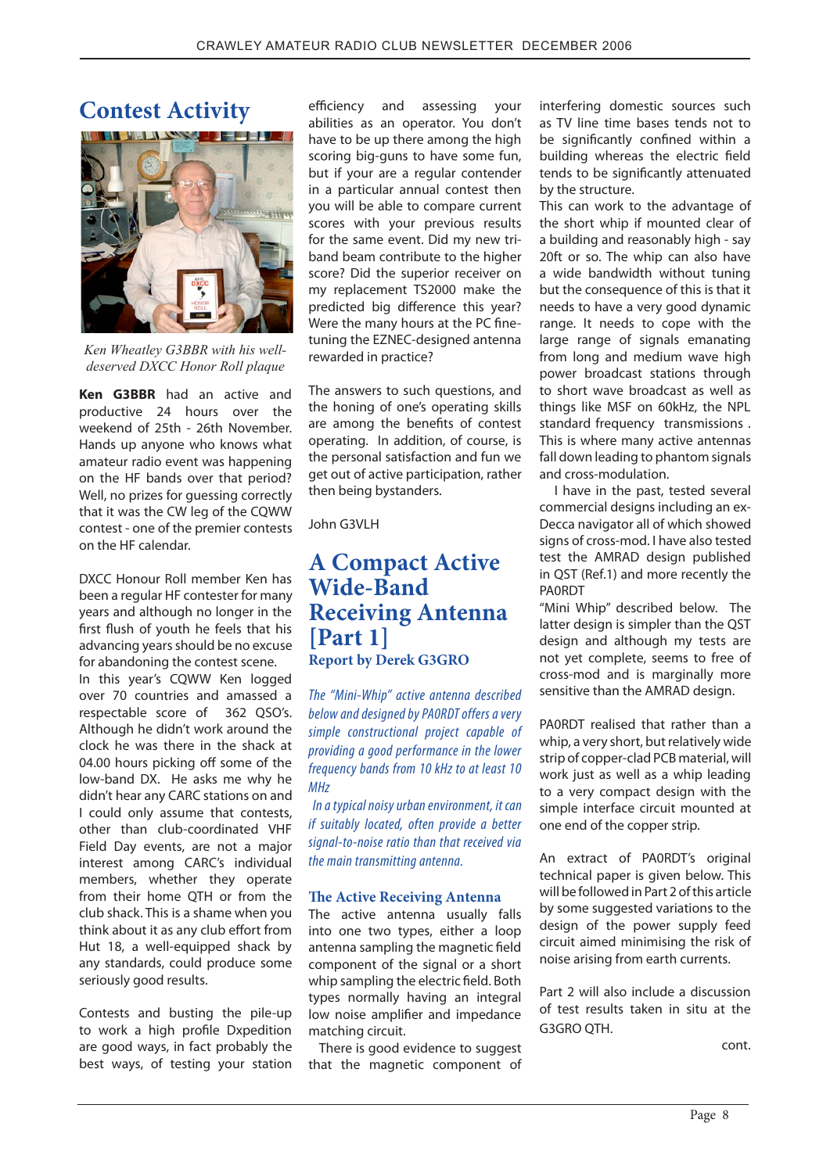efficiency and assessing your abilities as an operator. You don't have to be up there among the high scoring big-guns to have some fun, but if your are a regular contender in a particular annual contest then you will be able to compare current scores with your previous results for the same event. Did my new triband beam contribute to the higher score? Did the superior receiver on my replacement TS2000 make the predicted big difference this year? Were the many hours at the PC finetuning the EZNEC-designed antenna rewarded in practice?

The answers to such questions, and the honing of one's operating skills are among the benefits of contest operating. In addition, of course, is the personal satisfaction and fun we get out of active participation, rather then being bystanders.

John G3VLH

## **A Compact Active Wide-Band Receiving Antenna [Part 1] Report by Derek G3GRO**

The "Mini-Whip" active antenna described below and designed by PA0RDT offers a very simple constructional project capable of providing a good performance in the lower frequency bands from 10 kHz to at least 10 MHz

 In a typical noisy urban environment, it can if suitably located, often provide a better signal-to-noise ratio than that received via the main transmitting antenna.

### **!e Active Receiving Antenna**

The active antenna usually falls into one two types, either a loop antenna sampling the magnetic field component of the signal or a short whip sampling the electric field. Both types normally having an integral low noise amplifier and impedance matching circuit.

 There is good evidence to suggest that the magnetic component of interfering domestic sources such as TV line time bases tends not to be significantly confined within a building whereas the electric field tends to be significantly attenuated by the structure.

This can work to the advantage of the short whip if mounted clear of a building and reasonably high - say 20ft or so. The whip can also have a wide bandwidth without tuning but the consequence of this is that it needs to have a very good dynamic range. It needs to cope with the large range of signals emanating from long and medium wave high power broadcast stations through to short wave broadcast as well as things like MSF on 60kHz, the NPL standard frequency transmissions . This is where many active antennas fall down leading to phantom signals and cross-modulation.

 I have in the past, tested several commercial designs including an ex-Decca navigator all of which showed signs of cross-mod. I have also tested test the AMRAD design published in QST (Ref.1) and more recently the PA0RDT

"Mini Whip" described below. The latter design is simpler than the QST design and although my tests are not yet complete, seems to free of cross-mod and is marginally more sensitive than the AMRAD design.

PA0RDT realised that rather than a whip, a very short, but relatively wide strip of copper-clad PCB material, will work just as well as a whip leading to a very compact design with the simple interface circuit mounted at one end of the copper strip.

An extract of PA0RDT's original technical paper is given below. This will be followed in Part 2 of this article by some suggested variations to the design of the power supply feed circuit aimed minimising the risk of noise arising from earth currents.

Part 2 will also include a discussion of test results taken in situ at the G3GRO QTH.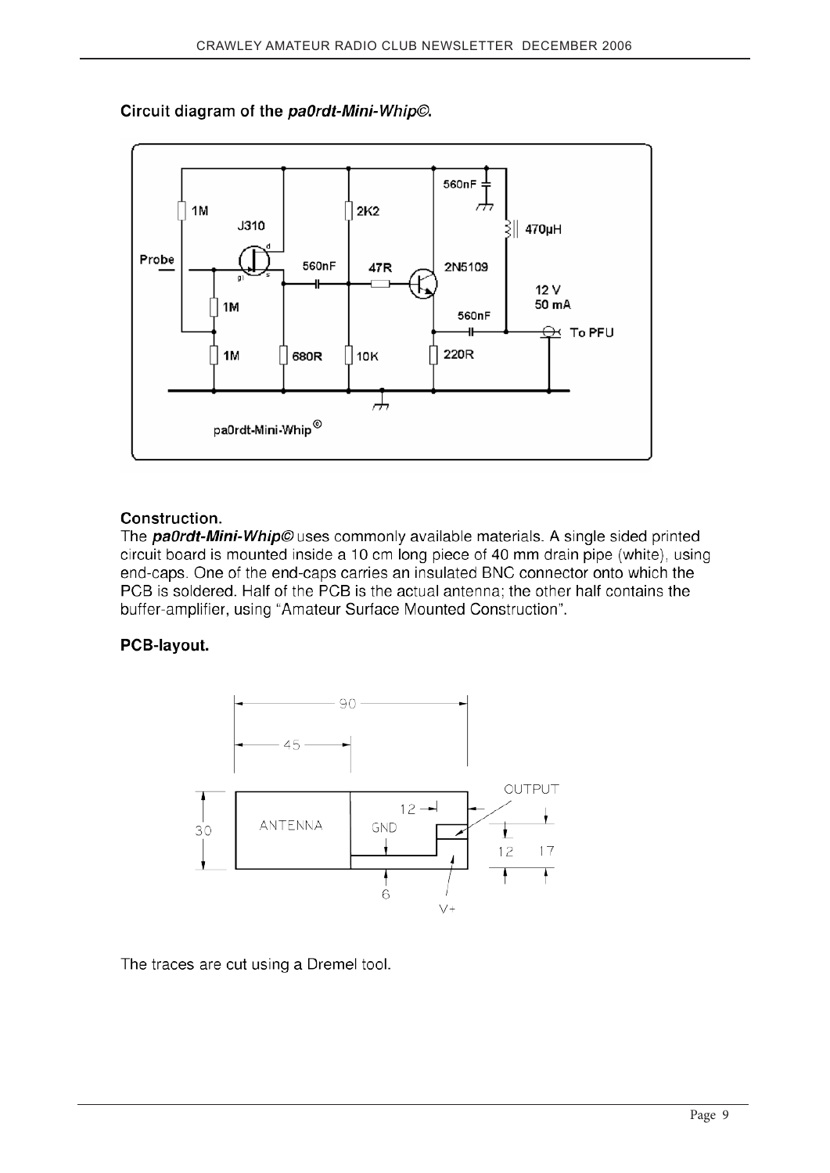## Circuit diagram of the pa0rdt-Mini-Whip©.



## Construction.

The **pa0rdt-Mini-Whip**© uses commonly available materials. A single sided printed circuit board is mounted inside a 10 cm long piece of 40 mm drain pipe (white), using end-caps. One of the end-caps carries an insulated BNC connector onto which the PCB is soldered. Half of the PCB is the actual antenna; the other half contains the buffer-amplifier, using "Amateur Surface Mounted Construction".

## PCB-layout.



The traces are cut using a Dremel tool.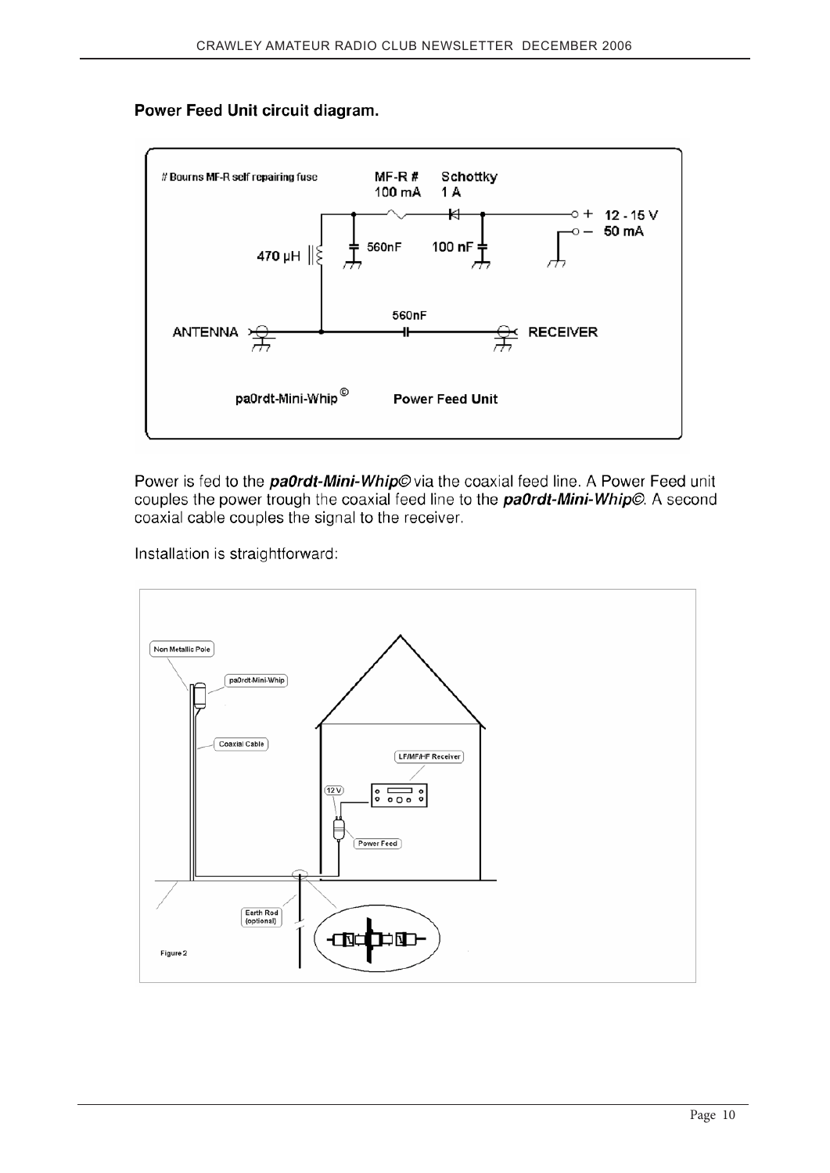## Power Feed Unit circuit diagram.



Power is fed to the *pa0rdt-Mini-Whip©* via the coaxial feed line. A Power Feed unit couples the power trough the coaxial feed line to the **pa0rdt-Mini-Whip**©. A second coaxial cable couples the signal to the receiver.

Installation is straightforward:

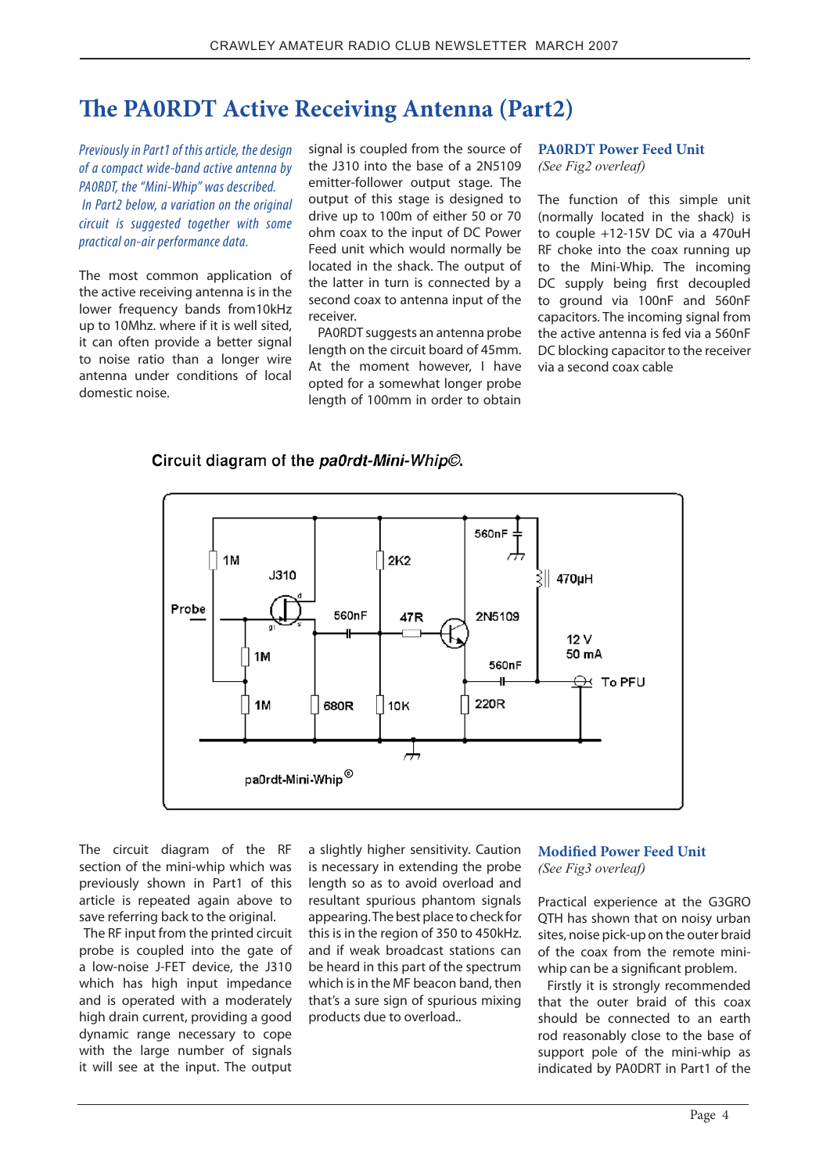# **"e PA0RDT Active Receiving Antenna (Part2)**

Previously in Part1 of this article, the design of a compact wide-band active antenna by PA0RDT, the "Mini-Whip" was described. In Part2 below, a variation on the original circuit is suggested together with some practical on-air performance data.

The most common application of the active receiving antenna is in the lower frequency bands from10kHz up to 10Mhz. where if it is well sited, it can often provide a better signal to noise ratio than a longer wire antenna under conditions of local domestic noise.

signal is coupled from the source of the J310 into the base of a 2N5109 emitter-follower output stage. The output of this stage is designed to drive up to 100m of either 50 or 70 ohm coax to the input of DC Power Feed unit which would normally be located in the shack. The output of the latter in turn is connected by a second coax to antenna input of the receiver.

PA0RDT suggests an antenna probe length on the circuit board of 45mm. At the moment however, I have opted for a somewhat longer probe length of 100mm in order to obtain

## **PA0RDT Power Feed Unit**

*(See Fig2 overleaf)*

The function of this simple unit (normally located in the shack) is to couple +12-15V DC via a 470uH RF choke into the coax running up to the Mini-Whip. The incoming DC supply being first decoupled to ground via 100nF and 560nF capacitors. The incoming signal from the active antenna is fed via a 560nF DC blocking capacitor to the receiver via a second coax cable

### Circuit diagram of the pa0rdt-Mini-Whip©.



The circuit diagram of the RF section of the mini-whip which was previously shown in Part1 of this article is repeated again above to save referring back to the original.

 The RF input from the printed circuit probe is coupled into the gate of a low-noise J-FET device, the J310 which has high input impedance and is operated with a moderately high drain current, providing a good dynamic range necessary to cope with the large number of signals it will see at the input. The output

a slightly higher sensitivity. Caution is necessary in extending the probe length so as to avoid overload and resultant spurious phantom signals appearing. The best place to check for this is in the region of 350 to 450kHz. and if weak broadcast stations can be heard in this part of the spectrum which is in the MF beacon band, then that's a sure sign of spurious mixing products due to overload..

### **Modi!ed Power Feed Unit**  *(See Fig3 overleaf)*

Practical experience at the G3GRO QTH has shown that on noisy urban sites, noise pick-up on the outer braid of the coax from the remote miniwhip can be a significant problem.

 Firstly it is strongly recommended that the outer braid of this coax should be connected to an earth rod reasonably close to the base of support pole of the mini-whip as indicated by PA0DRT in Part1 of the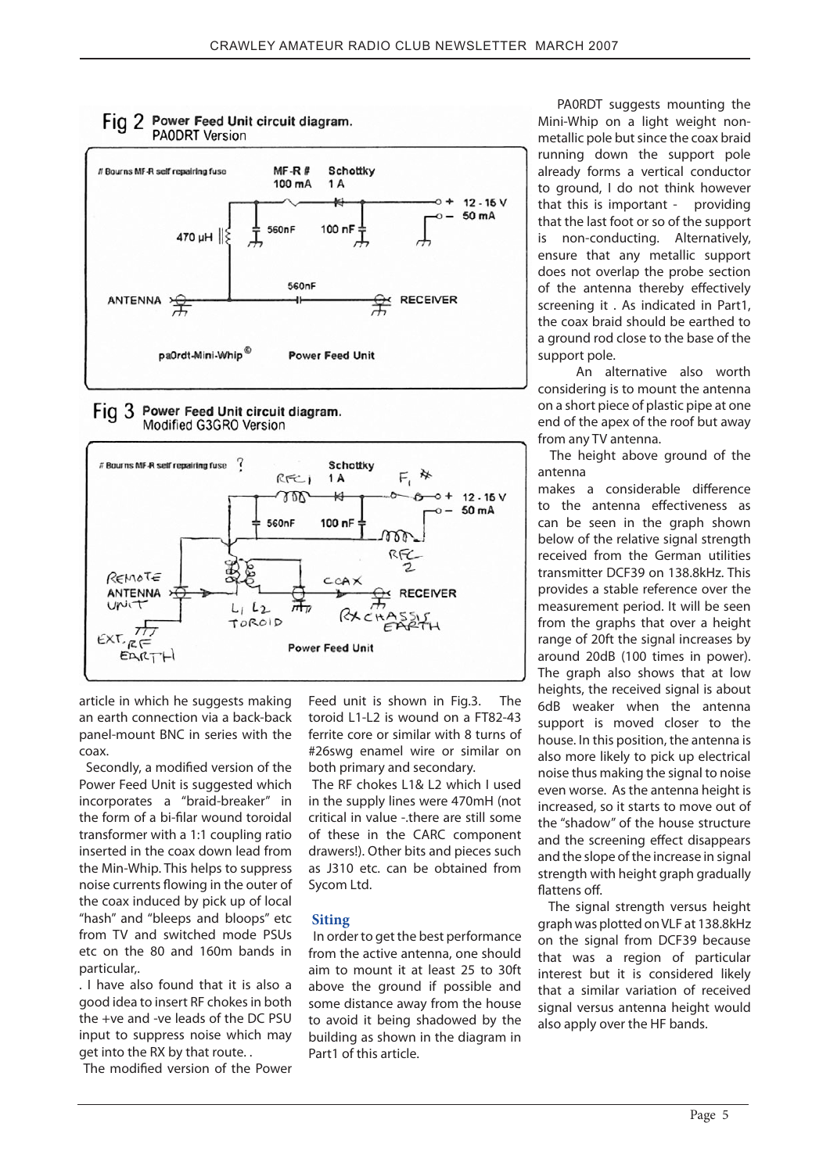

#### Fig 3 Power Feed Unit circuit diagram. Modified G3GRO Version



article in which he suggests making an earth connection via a back-back panel-mount BNC in series with the coax.

Secondly, a modified version of the Power Feed Unit is suggested which incorporates a "braid-breaker" in the form of a bi-filar wound toroidal transformer with a 1:1 coupling ratio inserted in the coax down lead from the Min-Whip. This helps to suppress noise currents flowing in the outer of the coax induced by pick up of local "hash" and "bleeps and bloops" etc from TV and switched mode PSUs etc on the 80 and 160m bands in particular,.

. I have also found that it is also a good idea to insert RF chokes in both the +ve and -ve leads of the DC PSU input to suppress noise which may get into the RX by that route. .

The modified version of the Power

Feed unit is shown in Fig.3. The toroid L1-L2 is wound on a FT82-43 ferrite core or similar with 8 turns of #26swg enamel wire or similar on both primary and secondary.

 The RF chokes L1& L2 which I used in the supply lines were 470mH (not critical in value -.there are still some of these in the CARC component drawers!). Other bits and pieces such as J310 etc. can be obtained from Sycom Ltd.

### **Siting**

 In order to get the best performance from the active antenna, one should aim to mount it at least 25 to 30ft above the ground if possible and some distance away from the house to avoid it being shadowed by the building as shown in the diagram in Part1 of this article.

 PA0RDT suggests mounting the Mini-Whip on a light weight nonmetallic pole but since the coax braid running down the support pole already forms a vertical conductor to ground, I do not think however that this is important - providing that the last foot or so of the support is non-conducting. Alternatively, ensure that any metallic support does not overlap the probe section of the antenna thereby effectively screening it . As indicated in Part1, the coax braid should be earthed to a ground rod close to the base of the support pole.

 An alternative also worth considering is to mount the antenna on a short piece of plastic pipe at one end of the apex of the roof but away from any TV antenna.

 The height above ground of the antenna

makes a considerable difference to the antenna effectiveness as can be seen in the graph shown below of the relative signal strength received from the German utilities transmitter DCF39 on 138.8kHz. This provides a stable reference over the measurement period. It will be seen from the graphs that over a height range of 20ft the signal increases by around 20dB (100 times in power). The graph also shows that at low heights, the received signal is about 6dB weaker when the antenna support is moved closer to the house. In this position, the antenna is also more likely to pick up electrical noise thus making the signal to noise even worse. As the antenna height is increased, so it starts to move out of the "shadow" of the house structure and the screening effect disappears and the slope of the increase in signal strength with height graph gradually flattens off.

 The signal strength versus height graph was plotted on VLF at 138.8kHz on the signal from DCF39 because that was a region of particular interest but it is considered likely that a similar variation of received signal versus antenna height would also apply over the HF bands.